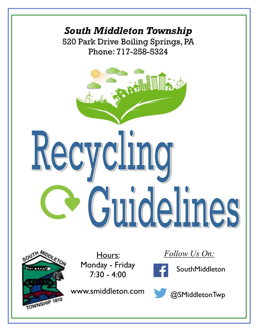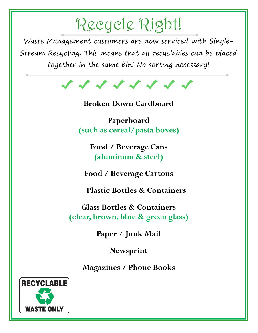# Recycle Right!

Waste Management customers are now serviced with Single-Stream Recycling. This means that all recyclables can be placed together in the same bin! No sorting necessary!



Broken Down Cardboard

Paperboard (such as cereal/pasta boxes)

> Food / Beverage Cans (aluminum & steel)

Food / Beverage Cartons

Plastic Bottles & Containers

Glass Bottles & Containers (clear, brown, blue & green glass)

Paper / Junk Mail

Newsprint

Magazines / Phone Books

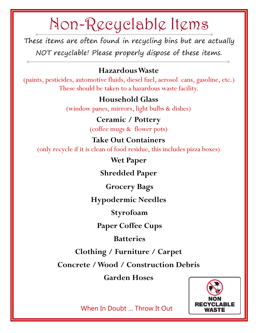## Non-Recyclable Items

These items are often found in recycling bins but are actually NOT recyclable! Please properly dispose of these items.

#### Hazardous Waste

(paints, pesticides, automotive fluids, diesel fuel, aerosol cans, gasoline, etc.) These should be taken to a hazardous waste facility.

### Household Glass

(window panes, mirrors, light bulbs & dishes)

### Ceramic / Pottery

(coffee mugs & flower pots)

#### Take Out Containers

(only recycle if it is clean of food residue, this includes pizza boxes)

#### Wet Paper

Shredded Paper

Grocery Bags

Hypodermic Needles

Styrofoam

Paper Coffee Cups

Batteries

Clothing / Furniture / Carpet

Concrete / Wood / Construction Debris

Garden Hoses



When In Doubt … Throw It Out